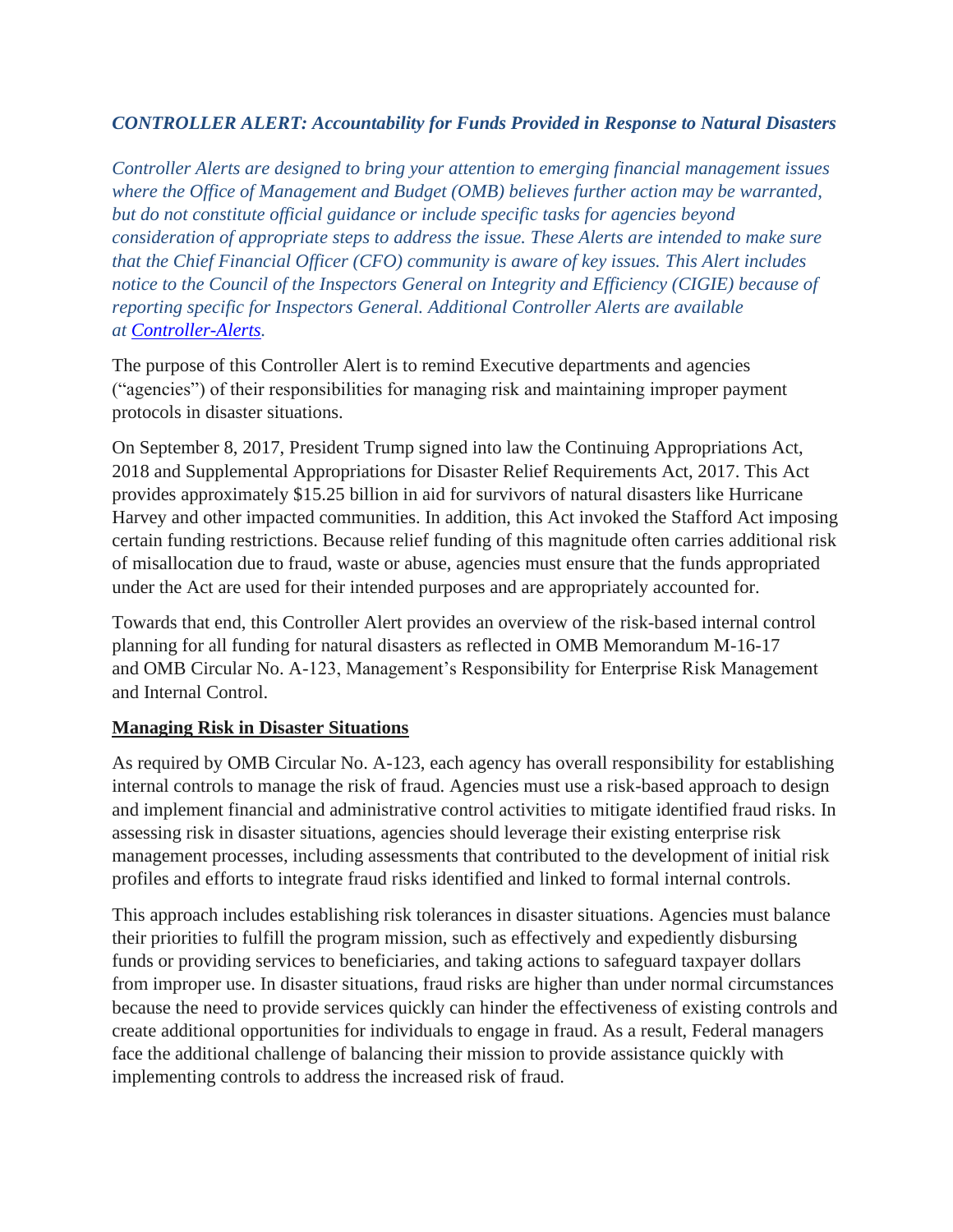## *CONTROLLER ALERT: Accountability for Funds Provided in Response to Natural Disasters*

*Controller Alerts are designed to bring your attention to emerging financial management issues where the Office of Management and Budget (OMB) believes further action may be warranted, but do not constitute official guidance or include specific tasks for agencies beyond consideration of appropriate steps to address the issue. These Alerts are intended to make sure that the Chief Financial Officer (CFO) community is aware of key issues. This Alert includes notice to the Council of the Inspectors General on Integrity and Efficiency (CIGIE) because of reporting specific for Inspectors General. Additional Controller Alerts are available at [Controller-Alerts.](https://www.cfo.gov/policies-and-guidance/#priority_area=*&type=.controller-alerts)*

The purpose of this Controller Alert is to remind Executive departments and agencies ("agencies") of their responsibilities for managing risk and maintaining improper payment protocols in disaster situations.

On September 8, 2017, President Trump signed into law the Continuing Appropriations Act, 2018 and Supplemental Appropriations for Disaster Relief Requirements Act, 2017. This Act provides approximately \$15.25 billion in aid for survivors of natural disasters like Hurricane Harvey and other impacted communities. In addition, this Act invoked the Stafford Act imposing certain funding restrictions. Because relief funding of this magnitude often carries additional risk of misallocation due to fraud, waste or abuse, agencies must ensure that the funds appropriated under the Act are used for their intended purposes and are appropriately accounted for.

Towards that end, this Controller Alert provides an overview of the risk-based internal control planning for all funding for natural disasters as reflected in OMB Memorandum M-16-17 and OMB Circular No. A-123, Management's Responsibility for Enterprise Risk Management and Internal Control.

## **Managing Risk in Disaster Situations**

As required by OMB Circular No. A-123, each agency has overall responsibility for establishing internal controls to manage the risk of fraud. Agencies must use a risk-based approach to design and implement financial and administrative control activities to mitigate identified fraud risks. In assessing risk in disaster situations, agencies should leverage their existing enterprise risk management processes, including assessments that contributed to the development of initial risk profiles and efforts to integrate fraud risks identified and linked to formal internal controls.

This approach includes establishing risk tolerances in disaster situations. Agencies must balance their priorities to fulfill the program mission, such as effectively and expediently disbursing funds or providing services to beneficiaries, and taking actions to safeguard taxpayer dollars from improper use. In disaster situations, fraud risks are higher than under normal circumstances because the need to provide services quickly can hinder the effectiveness of existing controls and create additional opportunities for individuals to engage in fraud. As a result, Federal managers face the additional challenge of balancing their mission to provide assistance quickly with implementing controls to address the increased risk of fraud.